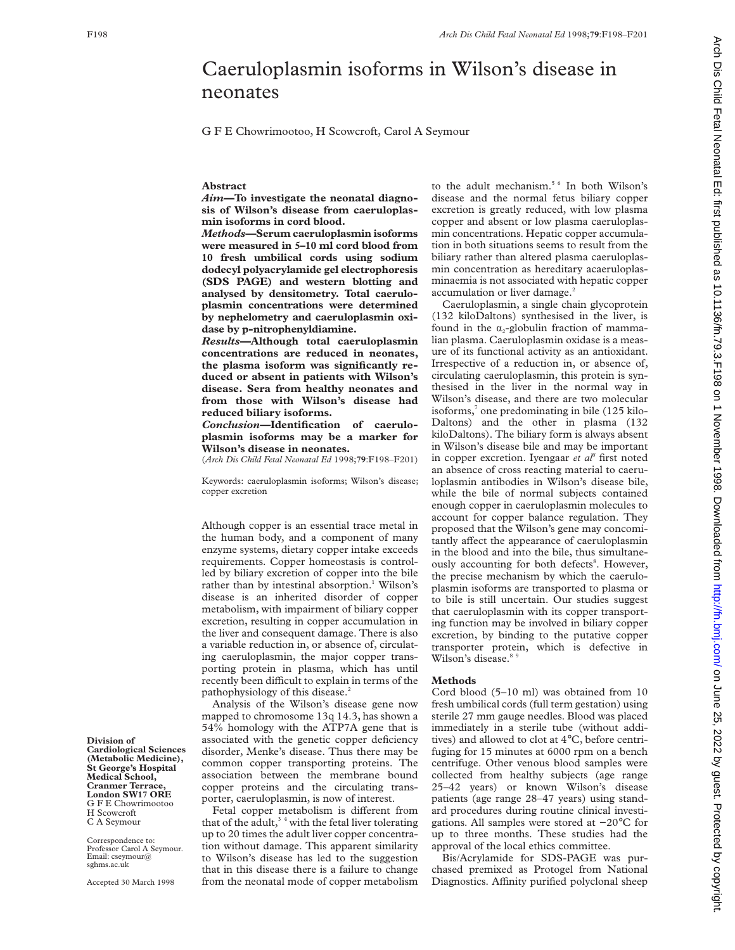# Caeruloplasmin isoforms in Wilson's disease in neonates

G F E Chowrimootoo, H Scowcroft, Carol A Seymour

## **Abstract**

*Aim—***To investigate the neonatal diagnosis of Wilson's disease from caeruloplasmin isoforms in cord blood.**

*Methods—***Serum caeruloplasmin isoforms were measured in 5–10 ml cord blood from 10 fresh umbilical cords using sodium dodecyl polyacrylamide gel electrophoresis (SDS PAGE) and western blotting and analysed by densitometry. Total caeruloplasmin concentrations were determined by nephelometry and caeruloplasmin oxidase by p-nitrophenyldiamine.**

*Results—***Although total caeruloplasmin concentrations are reduced in neonates, the plasma isoform was significantly reduced or absent in patients with Wilson's disease. Sera from healthy neonates and from those with Wilson's disease had reduced biliary isoforms.**

*Conclusion—***Identification of caeruloplasmin isoforms may be a marker for Wilson's disease in neonates.**

(*Arch Dis Child Fetal Neonatal Ed* 1998;**79**:F198–F201)

Keywords: caeruloplasmin isoforms; Wilson's disease; copper excretion

Although copper is an essential trace metal in the human body, and a component of many enzyme systems, dietary copper intake exceeds requirements. Copper homeostasis is controlled by biliary excretion of copper into the bile rather than by intestinal absorption.<sup>1</sup> Wilson's disease is an inherited disorder of copper metabolism, with impairment of biliary copper excretion, resulting in copper accumulation in the liver and consequent damage. There is also a variable reduction in, or absence of, circulating caeruloplasmin, the major copper transporting protein in plasma, which has until recently been difficult to explain in terms of the pathophysiology of this disease.<sup>2</sup>

Analysis of the Wilson's disease gene now mapped to chromosome 13q 14.3, has shown a 54% homology with the ATP7A gene that is associated with the genetic copper deficiency disorder, Menke's disease. Thus there may be common copper transporting proteins. The association between the membrane bound copper proteins and the circulating transporter, caeruloplasmin, is now of interest.

Fetal copper metabolism is different from that of the adult,<sup>34</sup> with the fetal liver tolerating up to 20 times the adult liver copper concentration without damage. This apparent similarity to Wilson's disease has led to the suggestion that in this disease there is a failure to change from the neonatal mode of copper metabolism to the adult mechanism.<sup>5 6</sup> In both Wilson's disease and the normal fetus biliary copper excretion is greatly reduced, with low plasma copper and absent or low plasma caeruloplasmin concentrations. Hepatic copper accumulation in both situations seems to result from the biliary rather than altered plasma caeruloplasmin concentration as hereditary acaeruloplasminaemia is not associated with hepatic copper accumulation or liver damage.<sup>2</sup>

Caeruloplasmin, a single chain glycoprotein (132 kiloDaltons) synthesised in the liver, is found in the  $\alpha$ -globulin fraction of mammalian plasma. Caeruloplasmin oxidase is a measure of its functional activity as an antioxidant. Irrespective of a reduction in, or absence of, circulating caeruloplasmin, this protein is synthesised in the liver in the normal way in Wilson's disease, and there are two molecular isoforms, $\frac{7}{1}$  one predominating in bile (125 kilo-Daltons) and the other in plasma (132 kiloDaltons). The biliary form is always absent in Wilson's disease bile and may be important in copper excretion. Iyengaar *et al8* first noted an absence of cross reacting material to caeruloplasmin antibodies in Wilson's disease bile, while the bile of normal subjects contained enough copper in caeruloplasmin molecules to account for copper balance regulation. They proposed that the Wilson's gene may concomitantly affect the appearance of caeruloplasmin in the blood and into the bile, thus simultaneously accounting for both defects<sup>8</sup>. However, the precise mechanism by which the caeruloplasmin isoforms are transported to plasma or to bile is still uncertain. Our studies suggest that caeruloplasmin with its copper transporting function may be involved in biliary copper excretion, by binding to the putative copper transporter protein, which is defective in Wilson's disease.<sup>8</sup>

#### **Methods**

Cord blood (5–10 ml) was obtained from 10 fresh umbilical cords (full term gestation) using sterile 27 mm gauge needles. Blood was placed immediately in a sterile tube (without additives) and allowed to clot at 4°C, before centrifuging for 15 minutes at 6000 rpm on a bench centrifuge. Other venous blood samples were collected from healthy subjects (age range 25–42 years) or known Wilson's disease patients (age range 28–47 years) using standard procedures during routine clinical investigations. All samples were stored at −20°C for up to three months. These studies had the approval of the local ethics committee.

Bis/Acrylamide for SDS-PAGE was purchased premixed as Protogel from National Diagnostics. Affinity purified polyclonal sheep

**Division of Cardiological Sciences (Metabolic Medicine), St George's Hospital Medical School, Cranmer Terrace, London SW17 ORE** G F E Chowrimootoo H Scowcroft C A Seymour

Correspondence to: Professor Carol A Seymour. Email: cseymour@ sghms.ac.uk

Accepted 30 March 1998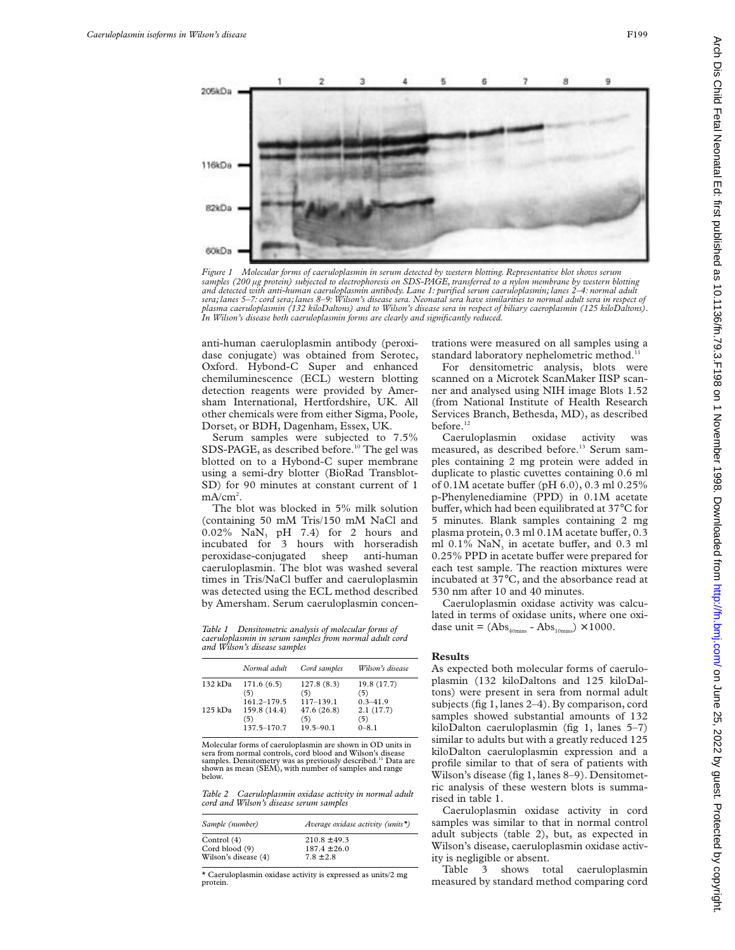

*Figure 1 Molecular forms of caeruloplasmin in serum detected by western blotting. Representative blot shows serum samples (200 µg protein) subjected to electrophoresis on SDS-PAGE, transferred to a nylon membrane by western blotting and detected with anti-human caeruloplasmin antibody. Lane 1: purified serum caeruloplasmin; lanes 2–4: normal adult sera; lanes 5–7: cord sera; lanes 8–9: Wilson's disease sera. Neonatal sera have similarities to normal adult sera in respect of plasma caeruloplasmin (132 kiloDaltons) and to Wilson's disease sera in respect of biliary caeroplasmin (125 kiloDaltons). In Wilson's disease both caeruloplasmin forms are clearly and significantly reduced.*

anti-human caeruloplasmin antibody (peroxidase conjugate) was obtained from Serotec, Oxford. Hybond-C Super and enhanced chemiluminescence (ECL) western blotting detection reagents were provided by Amersham International, Hertfordshire, UK. All other chemicals were from either Sigma, Poole, Dorset, or BDH, Dagenham, Essex, UK.

Serum samples were subjected to 7.5% SDS-PAGE, as described before.<sup>10</sup> The gel was blotted on to a Hybond-C super membrane using a semi-dry blotter (BioRad Transblot-SD) for 90 minutes at constant current of 1 mA/cm<sup>2</sup>.

The blot was blocked in 5% milk solution (containing 50 mM Tris/150 mM NaCl and 0.02%  $\text{NaN}_3$  pH 7.4) for 2 hours and incubated for 3 hours with horseradish peroxidase-conjugated sheep anti-human caeruloplasmin. The blot was washed several times in Tris/NaCl buffer and caeruloplasmin was detected using the ECL method described by Amersham. Serum caeruloplasmin concen-

*Table 1 Densitometric analysis of molecular forms of caeruloplasmin in serum samples from normal adult cord and Wilson's disease samples*

|           | Normal adult | Cord samples  | Wilson's disease |
|-----------|--------------|---------------|------------------|
| 132 kDa   | 171.6(6.5)   | 127.8(8.3)    | 19.8 (17.7)      |
|           | (5)          | (5)           | (5)              |
| $125$ kDa | 161.2-179.5  | $117 - 139.1$ | $0.3 - 41.9$     |
|           | 159.8 (14.4) | 47.6(26.8)    | 2.1(17.7)        |
|           | (5)          | (5)           | (5)              |
|           | 137.5-170.7  | $19.5 - 90.1$ | $0 - 8.1$        |

Molecular forms of caeruloplasmin are shown in OD units in sera from normal controls, cord blood and Wilson's disease samples. Densitometry was as previously described.11 Data are shown as mean (SEM), with number of samples and range below.

*Table 2 Caeruloplasmin oxidase activity in normal adult cord and Wilson's disease serum samples*

| Sample (number)      | Average oxidase activity (units*) |
|----------------------|-----------------------------------|
| Control $(4)$        | $210.8 + 49.3$                    |
| Cord blood (9)       | $187.4 + 26.0$                    |
| Wilson's disease (4) | $7.8 + 2.8$                       |

\* Caeruloplasmin oxidase activity is expressed as units/2 mg protein.

trations were measured on all samples using a standard laboratory nephelometric method.<sup>1</sup>

For densitometric analysis, blots were scanned on a Microtek ScanMaker IISP scanner and analysed using NIH image Blots 1.52 (from National Institute of Health Research Services Branch, Bethesda, MD), as described before.<sup>12</sup>

Caeruloplasmin oxidase activity was measured, as described before.<sup>13</sup> Serum samples containing 2 mg protein were added in duplicate to plastic cuvettes containing 0.6 ml of 0.1M acetate buffer (pH  $6.0$ ), 0.3 ml 0.25% p-Phenylenediamine (PPD) in 0.1M acetate buffer, which had been equilibrated at  $37^{\circ}$ C for 5 minutes. Blank samples containing 2 mg plasma protein,  $0.3$  ml  $0.1M$  acetate buffer,  $0.3$ ml  $0.1\%$  NaN<sub>3</sub> in acetate buffer, and  $0.3$  ml 0.25% PPD in acetate buffer were prepared for each test sample. The reaction mixtures were incubated at 37°C, and the absorbance read at 530 nm after 10 and 40 minutes.

Caeruloplasmin oxidase activity was calculated in terms of oxidase units, where one oxidase unit =  $(Abs<sub>40mins</sub> - Abs<sub>10mins</sub>) \times 1000$ .

### **Results**

As expected both molecular forms of caeruloplasmin (132 kiloDaltons and 125 kiloDaltons) were present in sera from normal adult subjects (fig 1, lanes 2–4). By comparison, cord samples showed substantial amounts of 132 kiloDalton caeruloplasmin (fig 1, lanes 5–7) similar to adults but with a greatly reduced 125 kiloDalton caeruloplasmin expression and a profile similar to that of sera of patients with Wilson's disease (fig 1, lanes 8–9). Densitometric analysis of these western blots is summarised in table 1.

Caeruloplasmin oxidase activity in cord samples was similar to that in normal control adult subjects (table 2), but, as expected in Wilson's disease, caeruloplasmin oxidase activity is negligible or absent.

Table 3 shows total caeruloplasmin measured by standard method comparing cord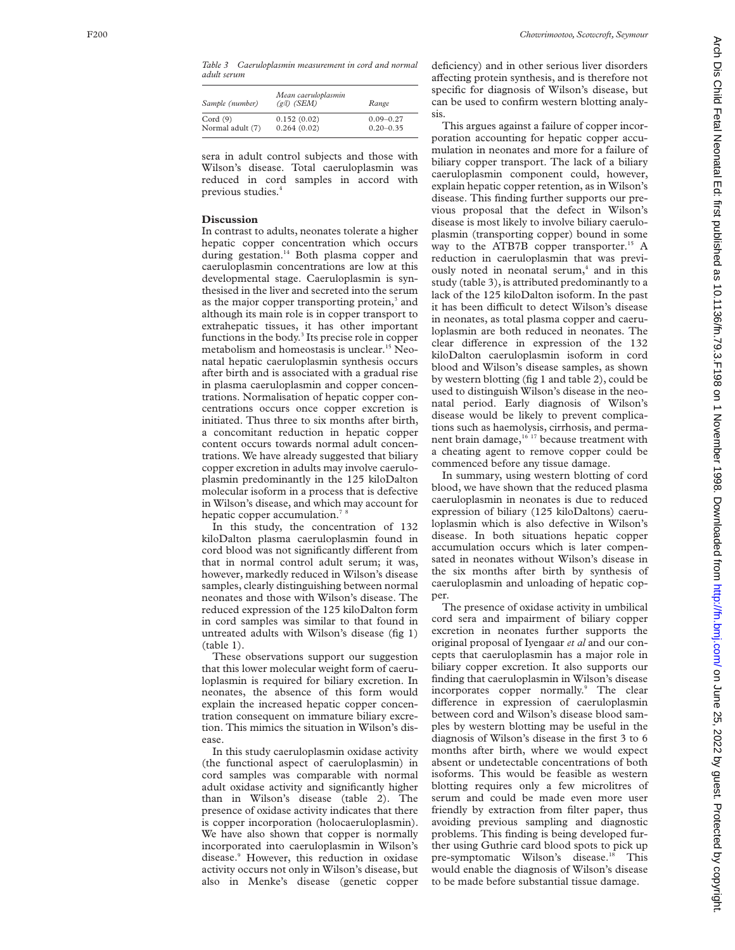*Table 3 Caeruloplasmin measurement in cord and normal adult serum*

| Sample (number)  | Mean caeruloplasmin<br>$(g/l)$ (SEM) | Range         |
|------------------|--------------------------------------|---------------|
| Cord $(9)$       | 0.152(0.02)                          | $0.09 - 0.27$ |
| Normal adult (7) | 0.264(0.02)                          | $0.20 - 0.35$ |

sera in adult control subjects and those with Wilson's disease. Total caeruloplasmin was reduced in cord samples in accord with previous studies. 4

## **Discussion**

In contrast to adults, neonates tolerate a higher hepatic copper concentration which occurs during gestation.<sup>14</sup> Both plasma copper and caeruloplasmin concentrations are low at this developmental stage. Caeruloplasmin is synthesised in the liver and secreted into the serum as the major copper transporting protein,<sup>3</sup> and although its main role is in copper transport to extrahepatic tissues, it has other important functions in the body. <sup>3</sup> Its precise role in copper metabolism and homeostasis is unclear.15 Neonatal hepatic caeruloplasmin synthesis occurs after birth and is associated with a gradual rise in plasma caeruloplasmin and copper concentrations. Normalisation of hepatic copper concentrations occurs once copper excretion is initiated. Thus three to six months after birth, a concomitant reduction in hepatic copper content occurs towards normal adult concentrations. We have already suggested that biliary copper excretion in adults may involve caeruloplasmin predominantly in the 125 kiloDalton molecular isoform in a process that is defective in Wilson's disease, and which may account for hepatic copper accumulation.<sup>7</sup>

In this study, the concentration of 132 kiloDalton plasma caeruloplasmin found in cord blood was not significantly different from that in normal control adult serum; it was, however, markedly reduced in Wilson's disease samples, clearly distinguishing between normal neonates and those with Wilson's disease. The reduced expression of the 125 kiloDalton form in cord samples was similar to that found in untreated adults with Wilson's disease (fig 1) (table 1).

These observations support our suggestion that this lower molecular weight form of caeruloplasmin is required for biliary excretion. In neonates, the absence of this form would explain the increased hepatic copper concentration consequent on immature biliary excretion. This mimics the situation in Wilson's disease.

In this study caeruloplasmin oxidase activity (the functional aspect of caeruloplasmin) in cord samples was comparable with normal adult oxidase activity and significantly higher than in Wilson's disease (table 2). The presence of oxidase activity indicates that there is copper incorporation (holocaeruloplasmin). We have also shown that copper is normally incorporated into caeruloplasmin in Wilson's disease. <sup>9</sup> However, this reduction in oxidase activity occurs not only in Wilson's disease, but also in Menke's disease (genetic copper

deficiency) and in other serious liver disorders affecting protein synthesis, and is therefore not specific for diagnosis of Wilson's disease, but can be used to confirm western blotting analysis.

This argues against a failure of copper incorporation accounting for hepatic copper accumulation in neonates and more for a failure of biliary copper transport. The lack of a biliary caeruloplasmin component could, however, explain hepatic copper retention, as in Wilson's disease. This finding further supports our previous proposal that the defect in Wilson's disease is most likely to involve biliary caeruloplasmin (transporting copper) bound in some way to the ATB7B copper transporter.<sup>15</sup> A reduction in caeruloplasmin that was previously noted in neonatal serum,<sup>4</sup> and in this study (table 3), is attributed predominantly to a lack of the 125 kiloDalton isoform. In the past it has been difficult to detect Wilson's disease in neonates, as total plasma copper and caeruloplasmin are both reduced in neonates. The clear difference in expression of the 132 kiloDalton caeruloplasmin isoform in cord blood and Wilson's disease samples, as shown by western blotting (fig 1 and table 2), could be used to distinguish Wilson's disease in the neonatal period. Early diagnosis of Wilson's disease would be likely to prevent complications such as haemolysis, cirrhosis, and permanent brain damage,<sup>16 17</sup> because treatment with a cheating agent to remove copper could be commenced before any tissue damage.

In summary, using western blotting of cord blood, we have shown that the reduced plasma caeruloplasmin in neonates is due to reduced expression of biliary (125 kiloDaltons) caeruloplasmin which is also defective in Wilson's disease. In both situations hepatic copper accumulation occurs which is later compensated in neonates without Wilson's disease in the six months after birth by synthesis of caeruloplasmin and unloading of hepatic copper.

The presence of oxidase activity in umbilical cord sera and impairment of biliary copper excretion in neonates further supports the original proposal of Iyengaar *et al* and our concepts that caeruloplasmin has a major role in biliary copper excretion. It also supports our finding that caeruloplasmin in Wilson's disease incorporates copper normally. <sup>9</sup> The clear difference in expression of caeruloplasmin between cord and Wilson's disease blood samples by western blotting may be useful in the diagnosis of Wilson's disease in the first 3 to 6 months after birth, where we would expect absent or undetectable concentrations of both isoforms. This would be feasible as western blotting requires only a few microlitres of serum and could be made even more user friendly by extraction from filter paper, thus avoiding previous sampling and diagnostic problems. This finding is being developed further using Guthrie card blood spots to pick up pre-symptomatic Wilson's disease.<sup>18</sup> This would enable the diagnosis of Wilson's disease to be made before substantial tissue damage.